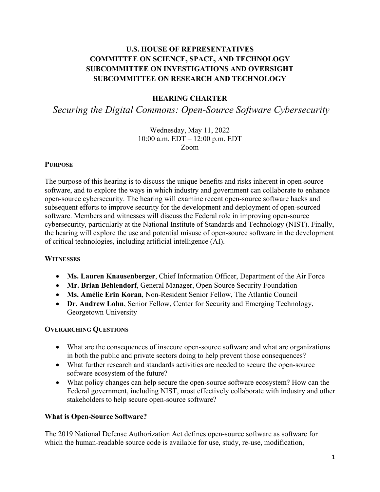# **U.S. HOUSE OF REPRESENTATIVES COMMITTEE ON SCIENCE, SPACE, AND TECHNOLOGY SUBCOMMITTEE ON INVESTIGATIONS AND OVERSIGHT SUBCOMMITTEE ON RESEARCH AND TECHNOLOGY**

### **HEARING CHARTER**

*Securing the Digital Commons: Open-Source Software Cybersecurity*

#### Wednesday, May 11, 2022 10:00 a.m. EDT – 12:00 p.m. EDT Zoom

#### **PURPOSE**

The purpose of this hearing is to discuss the unique benefits and risks inherent in open-source software, and to explore the ways in which industry and government can collaborate to enhance open-source cybersecurity. The hearing will examine recent open-source software hacks and subsequent efforts to improve security for the development and deployment of open-sourced software. Members and witnesses will discuss the Federal role in improving open-source cybersecurity, particularly at the National Institute of Standards and Technology (NIST). Finally, the hearing will explore the use and potential misuse of open-source software in the development of critical technologies, including artificial intelligence (AI).

### **WITNESSES**

- **Ms. Lauren Knausenberger**, Chief Information Officer, Department of the Air Force
- **Mr. Brian Behlendorf**, General Manager, Open Source Security Foundation
- **Ms. Amélie Erin Koran**, Non-Resident Senior Fellow, The Atlantic Council
- **Dr. Andrew Lohn**, Senior Fellow, Center for Security and Emerging Technology, Georgetown University

#### **OVERARCHING QUESTIONS**

- What are the consequences of insecure open-source software and what are organizations in both the public and private sectors doing to help prevent those consequences?
- What further research and standards activities are needed to secure the open-source software ecosystem of the future?
- What policy changes can help secure the open-source software ecosystem? How can the Federal government, including NIST, most effectively collaborate with industry and other stakeholders to help secure open-source software?

### **What is Open-Source Software?**

The 2019 National Defense Authorization Act defines open-source software as software for which the human-readable source code is available for use, study, re-use, modification,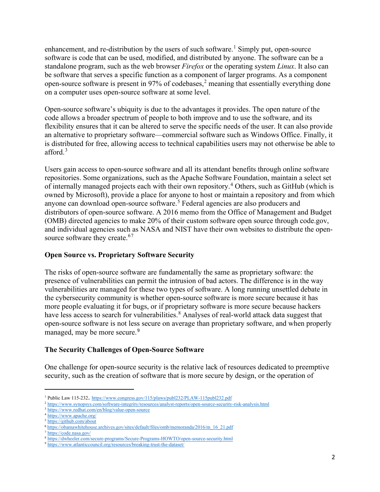enhancement, and re-distribution by the users of such software.<sup>[1](#page-1-0)</sup> Simply put, open-source software is code that can be used, modified, and distributed by anyone. The software can be a standalone program, such as the web browser *Firefox* or the operating system *Linux*. It also can be software that serves a specific function as a component of larger programs. As a component open-source software is present in 97% of codebases,<sup>[2](#page-1-1)</sup> meaning that essentially everything done on a computer uses open-source software at some level.

Open-source software's ubiquity is due to the advantages it provides. The open nature of the code allows a broader spectrum of people to both improve and to use the software, and its flexibility ensures that it can be altered to serve the specific needs of the user. It can also provide an alternative to proprietary software—commercial software such as Windows Office. Finally, it is distributed for free, allowing access to technical capabilities users may not otherwise be able to afford. [3](#page-1-2)

Users gain access to open-source software and all its attendant benefits through online software repositories. Some organizations, such as the Apache Software Foundation, maintain a select set of internally managed projects each with their own repository.<sup>[4](#page-1-3)</sup> Others, such as GitHub (which is owned by Microsoft), provide a place for anyone to host or maintain a repository and from which anyone can download open-source software. [5](#page-1-4) Federal agencies are also producers and distributors of open-source software. A 2016 memo from the Office of Management and Budget (OMB) directed agencies to make 20% of their custom software open source through code.gov, and individual agencies such as NASA and NIST have their own websites to distribute the open-source software they create.<sup>[6](#page-1-5)[7](#page-1-6)</sup>

### **Open Source vs. Proprietary Software Security**

The risks of open-source software are fundamentally the same as proprietary software: the presence of vulnerabilities can permit the intrusion of bad actors. The difference is in the way vulnerabilities are managed for these two types of software. A long running unsettled debate in the cybersecurity community is whether open-source software is more secure because it has more people evaluating it for bugs, or if proprietary software is more secure because hackers have less access to search for vulnerabilities.<sup>[8](#page-1-7)</sup> Analyses of real-world attack data suggest that open-source software is not less secure on average than proprietary software, and when properly managed, may be more secure. [9](#page-1-8)

### **The Security Challenges of Open-Source Software**

One challenge for open-source security is the relative lack of resources dedicated to preemptive security, such as the creation of software that is more secure by design, or the operation of

<span id="page-1-1"></span><span id="page-1-0"></span><sup>&</sup>lt;sup>1</sup> Public Law 115-232. https://www.congress.gov/115/plaws/publ232/PLAW-115publ232.pdf<br>
<sup>2</sup> https://www.synopsys.com/software-integrity/resources/analyst-reports/open-source-security-risk-analysis.html<br>
<sup>3</sup> https://www.re

<span id="page-1-3"></span><span id="page-1-2"></span>

<span id="page-1-4"></span>

<span id="page-1-5"></span><sup>6</sup> [https://obamawhitehouse.archives.gov/sites/default/files/omb/memoranda/2016/m\\_16\\_21.pdf](https://obamawhitehouse.archives.gov/sites/default/files/omb/memoranda/2016/m_16_21.pdf)

<span id="page-1-6"></span><sup>7</sup> <https://code.nasa.gov/>

<span id="page-1-7"></span><sup>8</sup> <https://dwheeler.com/secure-programs/Secure-Programs-HOWTO/open-source-security.html>9 <https://www.atlanticcouncil.org/resources/breaking-trust-the-dataset/>

<span id="page-1-8"></span>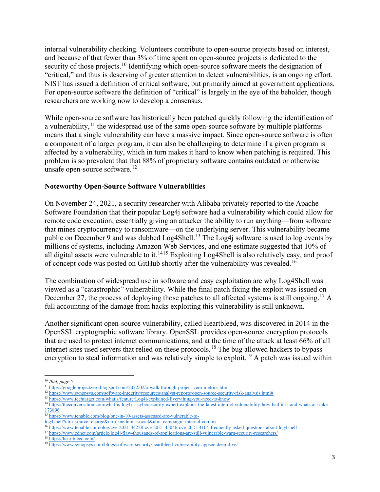internal vulnerability checking. Volunteers contribute to open-source projects based on interest, and because of that fewer than 3% of time spent on open-source projects is dedicated to the security of those projects.<sup>[10](#page-2-0)</sup> Identifying which open-source software meets the designation of "critical," and thus is deserving of greater attention to detect vulnerabilities, is an ongoing effort. NIST has issued a definition of critical software, but primarily aimed at government applications. For open-source software the definition of "critical" is largely in the eye of the beholder, though researchers are working now to develop a consensus.

While open-source software has historically been patched quickly following the identification of a vulnerability,  $11$  the widespread use of the same open-source software by multiple platforms means that a single vulnerability can have a massive impact. Since open-source software is often a component of a larger program, it can also be challenging to determine if a given program is affected by a vulnerability, which in turn makes it hard to know when patching is required. This problem is so prevalent that that 88% of proprietary software contains outdated or otherwise unsafe open-source software.<sup>12</sup>

#### **Noteworthy Open-Source Software Vulnerabilities**

On November 24, 2021, a security researcher with Alibaba privately reported to the Apache Software Foundation that their popular Log4j software had a vulnerability which could allow for remote code execution, essentially giving an attacker the ability to run anything—from software that mines cryptocurrency to ransomware—on the underlying server. This vulnerability became public on December 9 and was dubbed Log4Shell.<sup>[13](#page-2-3)</sup> The Log4j software is used to log events by millions of systems, including Amazon Web Services, and one estimate suggested that 10% of all digital assets were vulnerable to it.<sup>[14](#page-2-4)15</sup> Exploiting Log4Shell is also relatively easy, and proof of concept code was posted on GitHub shortly after the vulnerability was revealed.[16](#page-2-6)

The combination of widespread use in software and easy exploitation are why Log4Shell was viewed as a "catastrophic" vulnerability. While the final patch fixing the exploit was issued on December 27, the process of deploying those patches to all affected systems is still ongoing.<sup>[17](#page-2-7)</sup> A full accounting of the damage from hacks exploiting this vulnerability is still unknown.

Another significant open-source vulnerability, called Heartbleed, was discovered in 2014 in the OpenSSL cryptographic software library. OpenSSL provides open-source encryption protocols that are used to protect internet communications, and at the time of the attack at least 66% of all internet sites used servers that relied on these protocols.<sup>[18](#page-2-8)</sup> The bug allowed hackers to bypass encryption to steal information and was relatively simple to exploit.<sup>19</sup> A patch was issued within

<span id="page-2-1"></span><span id="page-2-0"></span><sup>&</sup>lt;sup>10</sup> *Ibid, page 5*<br><sup>11</sup> https://googleprojectzero.blogspot.com/2022/02/a-walk-through-project-zero-metrics.html

<span id="page-2-3"></span>

<span id="page-2-2"></span><sup>&</sup>lt;sup>12</sup> https://www.synopsys.com/software-integrity/resources/analyst-reports/open-source-security-risk-analysis.html#<br><sup>13</sup> https://www.techtarget.com/whatis/feature/Log4j-explained-Everything-you-need-to-know<br><sup>14</sup> https://th

<span id="page-2-4"></span>[<sup>173896</sup>](https://theconversation.com/what-is-log4j-a-cybersecurity-expert-explains-the-latest-internet-vulnerability-how-bad-it-is-and-whats-at-stake-173896)

<span id="page-2-5"></span><sup>15</sup> [https://www.tenable.com/blog/one-in-10-assets-assessed-are-vulnerable-to-](https://www.tenable.com/blog/one-in-10-assets-assessed-are-vulnerable-to-log4shell?utm_source=charge&utm_medium=social&utm_campaign=internal-comms)

<span id="page-2-6"></span>log4shell?utm\_source=charge&utm\_medium=social&utm\_campaign=internal-comms<br><sup>16</sup> https://www.tenable.com/blog/cve-2021-44228-cve-2021-45046-cve-2021-4104-frequently-asked-questions-about-log4shell<br><sup>17</sup> https://www.zdnet.com/

<span id="page-2-7"></span>

<span id="page-2-9"></span><span id="page-2-8"></span>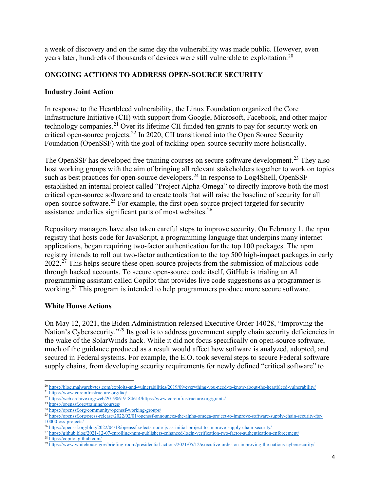a week of discovery and on the same day the vulnerability was made public. However, even years later, hundreds of thousands of devices were still vulnerable to exploitation.<sup>[20](#page-3-0)</sup>

### **ONGOING ACTIONS TO ADDRESS OPEN-SOURCE SECURITY**

### **Industry Joint Action**

In response to the Heartbleed vulnerability, the Linux Foundation organized the Core Infrastructure Initiative (CII) with support from Google, Microsoft, Facebook, and other major technology companies.<sup>[21](#page-3-1)</sup> Over its lifetime CII funded ten grants to pay for security work on critical open-source projects.[22](#page-3-2) In 2020, CII transitioned into the Open Source Security Foundation (OpenSSF) with the goal of tackling open-source security more holistically.

The OpenSSF has developed free training courses on secure software development.<sup>23</sup> They also host working groups with the aim of bringing all relevant stakeholders together to work on topics such as best practices for open-source developers.<sup>[24](#page-3-4)</sup> In response to Log4Shell, OpenSSF established an internal project called "Project Alpha-Omega" to directly improve both the most critical open-source software and to create tools that will raise the baseline of security for all open-source software.[25](#page-3-5) For example, the first open-source project targeted for security assistance underlies significant parts of most websites.<sup>[26](#page-3-6)</sup>

Repository managers have also taken careful steps to improve security. On February 1, the npm registry that hosts code for JavaScript, a programming language that underpins many internet applications, began requiring two-factor authentication for the top 100 packages. The npm registry intends to roll out two-factor authentication to the top 500 high-impact packages in early 2022<sup>27</sup> This helps secure these open-source projects from the submission of malicious code through hacked accounts. To secure open-source code itself, GitHub is trialing an AI programming assistant called Copilot that provides live code suggestions as a programmer is working.<sup>28</sup> This program is intended to help programmers produce more secure software.

### **White House Actions**

On May 12, 2021, the Biden Administration released Executive Order 14028, "Improving the Nation's Cybersecurity."<sup>29</sup> Its goal is to address government supply chain security deficiencies in the wake of the SolarWinds hack. While it did not focus specifically on open-source software, much of the guidance produced as a result would affect how software is analyzed, adopted, and secured in Federal systems. For example, the E.O. took several steps to secure Federal software supply chains, from developing security requirements for newly defined "critical software" to

<span id="page-3-0"></span> $^{20}$  https://blog.malwarebytes.com/exploits-and-vulnerabilities/2019/09/everything-you-need-to-know-about-the-heartbleed-vulnerability/<br>  $^{21}$  https://www.coreinfrastructure.org/faq/<br>  $^{22}$  https://web.archive.org/web

<span id="page-3-3"></span><span id="page-3-2"></span><span id="page-3-1"></span>

<span id="page-3-4"></span><sup>&</sup>lt;sup>24</sup> https://openssf.org/community/openssf-working-groups/<br><sup>25</sup> [https://openssf.org/press-release/2022/02/01/openssf-announces-the-alpha-omega-project-to-improve-software-supply-chain-security-for-](https://openssf.org/press-release/2022/02/01/openssf-announces-the-alpha-omega-project-to-improve-software-supply-chain-security-for-10000-oss-projects/)

<span id="page-3-7"></span><span id="page-3-6"></span><span id="page-3-5"></span> $\frac{10000\text{-}oss\text{-}projects/}{26} \frac{1}{\frac{https://openssf.org/blog/2022/04/18/openssf-selects-node\text{-}js-as\text{-}initial\text{-}project-to\text{-}improve\text{-}sum\text{-}seurity/}{\frac{https://openssf.org/blog/2022/04/18/openssf-selects-node\text{-}js-as\text{-}initial\text{-}project-to\text{-}improve\text{-}sum\text{-}seurity/}{\frac{27 \text{ } https://github.blog/2021-12-07\text{-}enrolling\text{-}npm\text{-}published\text{-}les\text{-}enhanced\text$ 

<span id="page-3-9"></span><span id="page-3-8"></span>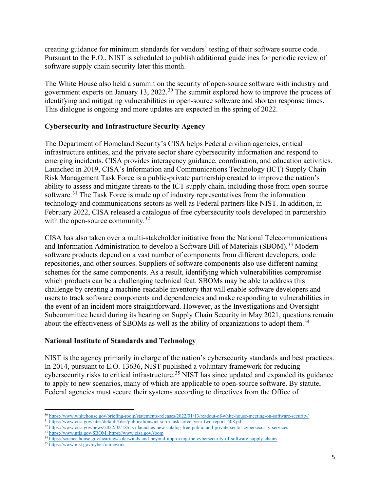creating guidance for minimum standards for vendors' testing of their software source code. Pursuant to the E.O., NIST is scheduled to publish additional guidelines for periodic review of software supply chain security later this month.

The White House also held a summit on the security of open-source software with industry and government experts on January 13, 2022.[30](#page-4-0) The summit explored how to improve the process of identifying and mitigating vulnerabilities in open-source software and shorten response times. This dialogue is ongoing and more updates are expected in the spring of 2022.

## **Cybersecurity and Infrastructure Security Agency**

The Department of Homeland Security's CISA helps Federal civilian agencies, critical infrastructure entities, and the private sector share cybersecurity information and respond to emerging incidents. CISA provides interagency guidance, coordination, and education activities. Launched in 2019, CISA's Information and Communications Technology (ICT) Supply Chain Risk Management Task Force is a public-private partnership created to improve the nation's ability to assess and mitigate threats to the ICT supply chain, including those from open-source software.<sup>[31](#page-4-1)</sup> The Task Force is made up of industry representatives from the information technology and communications sectors as well as Federal partners like NIST. In addition, in February 2022, CISA released a catalogue of free cybersecurity tools developed in partnership with the open-source community. $32$ 

CISA has also taken over a multi-stakeholder initiative from the National Telecommunications and Information Administration to develop a Software Bill of Materials (SBOM).<sup>[33](#page-4-3)</sup> Modern software products depend on a vast number of components from different developers, code repositories, and other sources. Suppliers of software components also use different naming schemes for the same components. As a result, identifying which vulnerabilities compromise which products can be a challenging technical feat. SBOMs may be able to address this challenge by creating a machine-readable inventory that will enable software developers and users to track software components and dependencies and make responding to vulnerabilities in the event of an incident more straightforward. However, as the Investigations and Oversight Subcommittee heard during its hearing on Supply Chain Security in May 2021, questions remain about the effectiveness of SBOMs as well as the ability of organizations to adopt them.<sup>[34](#page-4-4)</sup>

### **National Institute of Standards and Technology**

NIST is the agency primarily in charge of the nation's cybersecurity standards and best practices. In 2014, pursuant to E.O. 13636, NIST published a voluntary framework for reducing cybersecurity risks to critical infrastructure.<sup>[35](#page-4-5)</sup> NIST has since updated and expanded its guidance to apply to new scenarios, many of which are applicable to open-source software. By statute, Federal agencies must secure their systems according to directives from the Office of

<sup>&</sup>lt;sup>30</sup> <https://www.whitehouse.gov/briefing-room/statements-releases/2022/01/13/readout-of-white-house-meeting-on-software-security/><br><sup>31</sup> https://www.c<u>isa.gov/sites/default/files/publications/ict-scrm-task-force\_year-two-rep</u>

<span id="page-4-1"></span><span id="page-4-0"></span>

<span id="page-4-2"></span><sup>32</sup> https://www.cisa.gov/news/2022/02/18/cisa-launches-new-catalog-free-public-and-private-sector-cybersecurity-services<br>33 [https://www.ntia.gov/SBOM;](https://www.ntia.gov/SBOM)<https://www.cisa.gov/sbom><br>34 https://science.house.gov/hearings/solarwin

<span id="page-4-3"></span>

<span id="page-4-5"></span><span id="page-4-4"></span><sup>35</sup> <https://www.nist.gov/cyberframework>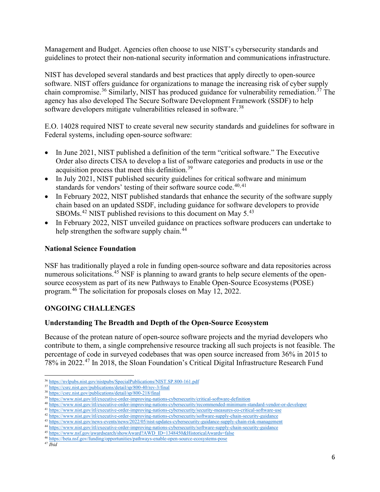Management and Budget. Agencies often choose to use NIST's cybersecurity standards and guidelines to protect their non-national security information and communications infrastructure.

NIST has developed several standards and best practices that apply directly to open-source software. NIST offers guidance for organizations to manage the increasing risk of cyber supply chain compromise.<sup>[36](#page-5-0)</sup> Similarly, NIST has produced guidance for vulnerability remediation.<sup>[37](#page-5-1)</sup> The agency has also developed The Secure Software Development Framework (SSDF) to help software developers mitigate vulnerabilities released in software.<sup>[38](#page-5-2)</sup>

E.O. 14028 required NIST to create several new security standards and guidelines for software in Federal systems, including open-source software:

- In June 2021, NIST published a definition of the term "critical software." The Executive Order also directs CISA to develop a list of software categories and products in use or the acquisition process that meet this definition.<sup>[39](#page-5-3)</sup>
- In July 2021, NIST published security guidelines for critical software and minimum standards for vendors' testing of their software source code.<sup>[40](#page-5-4),[41](#page-5-5)</sup>
- In February 2022, NIST published standards that enhance the security of the software supply chain based on an updated SSDF, including guidance for software developers to provide SBOMs.<sup>[42](#page-5-6)</sup> NIST published revisions to this document on May  $5^{43}$  $5^{43}$  $5^{43}$
- In February 2022, NIST unveiled guidance on practices software producers can undertake to help strengthen the software supply chain.<sup>[44](#page-5-8)</sup>

# **National Science Foundation**

NSF has traditionally played a role in funding open-source software and data repositories across numerous solicitations.<sup>[45](#page-5-9)</sup> NSF is planning to award grants to help secure elements of the opensource ecosystem as part of its new Pathways to Enable Open-Source Ecosystems (POSE) program.[46](#page-5-10) The solicitation for proposals closes on May 12, 2022.

# **ONGOING CHALLENGES**

### **Understanding The Breadth and Depth of the Open-Source Ecosystem**

Because of the protean nature of open-source software projects and the myriad developers who contribute to them, a single comprehensive resource tracking all such projects is not feasible. The percentage of code in surveyed codebases that was open source increased from 36% in 2015 to 78% in 2022.[47](#page-5-11) In 2018, the Sloan Foundation's Critical Digital Infrastructure Research Fund

<span id="page-5-2"></span>

<span id="page-5-4"></span><span id="page-5-3"></span>

<span id="page-5-1"></span><span id="page-5-0"></span><sup>&</sup>lt;sup>36</sup><br>
https://csrc.nist.gov/publications/detail/sp/800-40/rev-3/final<br>
<sup>37</sup><br>
https://csrc.nist.gov/publications/detail/sp/800-40/rev-3/final<br>
<sup>38</sup><br>
https://csrc.nist.gov/publications/detail/sp/800-218/final<br>
<sup>39</sup><br>
https://

<span id="page-5-5"></span>

<span id="page-5-6"></span>

<span id="page-5-8"></span><span id="page-5-7"></span>

<span id="page-5-9"></span>

<span id="page-5-11"></span><span id="page-5-10"></span>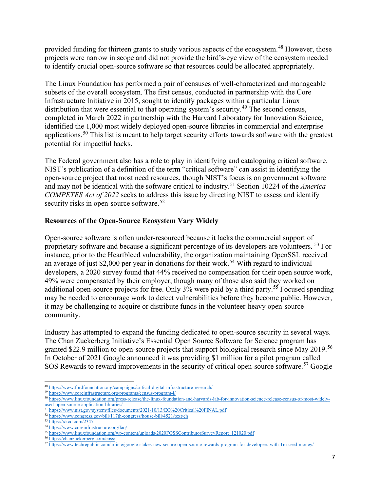provided funding for thirteen grants to study various aspects of the ecosystem.<sup>48</sup> However, those projects were narrow in scope and did not provide the bird's-eye view of the ecosystem needed to identify crucial open-source software so that resources could be allocated appropriately.

The Linux Foundation has performed a pair of censuses of well-characterized and manageable subsets of the overall ecosystem. The first census, conducted in partnership with the Core Infrastructure Initiative in 2015, sought to identify packages within a particular Linux distribution that were essential to that operating system's security.<sup>[49](#page-6-1)</sup> The second census, completed in March 2022 in partnership with the Harvard Laboratory for Innovation Science, identified the 1,000 most widely deployed open-source libraries in commercial and enterprise applications.[50](#page-6-2) This list is meant to help target security efforts towards software with the greatest potential for impactful hacks.

The Federal government also has a role to play in identifying and cataloguing critical software. NIST's publication of a definition of the term "critical software" can assist in identifying the open-source project that most need resources, though NIST's focus is on government software and may not be identical with the software critical to industry. [51](#page-6-3) Section 10224 of the *America COMPETES Act of 2022* seeks to address this issue by directing NIST to assess and identify security risks in open-source software.<sup>[52](#page-6-4)</sup>

### **Resources of the Open-Source Ecosystem Vary Widely**

Open-source software is often under-resourced because it lacks the commercial support of proprietary software and because a significant percentage of its developers are volunteers. [53](#page-6-5) For instance, prior to the Heartbleed vulnerability, the organization maintaining OpenSSL received an average of just \$2,000 per year in donations for their work. [54](#page-6-6) With regard to individual developers, a 2020 survey found that 44% received no compensation for their open source work, 49% were compensated by their employer, though many of those also said they worked on additional open-source projects for free. Only 3% were paid by a third party.<sup>55</sup> Focused spending may be needed to encourage work to detect vulnerabilities before they become public. However, it may be challenging to acquire or distribute funds in the volunteer-heavy open-source community.

Industry has attempted to expand the funding dedicated to open-source security in several ways. The Chan Zuckerberg Initiative's Essential Open Source Software for Science program has granted \$22.9 million to open-source projects that support biological research since May 2019.[56](#page-6-8) In October of 2021 Google announced it was providing \$1 million for a pilot program called SOS Rewards to reward improvements in the security of critical open-source software.<sup>[57](#page-6-9)</sup> Google

<span id="page-6-0"></span> $\begin{array}{l} \textbf{48}\ \text{https://www.fordfoundation.org/cmpaging/s/critical-digital-infrastructure-research/}\\ \textbf{49}\ \text{https://www.coreinfrastructure.org/programs/census-program-i/} \end{array}$ 

<span id="page-6-2"></span><span id="page-6-1"></span><sup>&</sup>lt;sup>50</sup> https://www.linuxfoundation.org/press-release/the-linux-foundation-and-harvards-lab-for-innovation-science-release-census-of-most-widely-<br>used-open-source-application-libraries/<br><sup>51</sup> https://www.nist.org/press-release

<span id="page-6-4"></span><span id="page-6-3"></span><sup>&</sup>lt;sup>51</sup> https://www.nist.gov/system/files/documents/2021/10/13/EO%20Critical%20FINAL.pdf<br><sup>52</sup> https://www.congress.gov/bill/117th-congress/house-bill/4521/text/eh<br><sup>53</sup> <https://xkcd.com/2347><br><sup>54</sup> https://www.coreinfrastructure

<span id="page-6-5"></span>

<span id="page-6-7"></span><span id="page-6-6"></span>

<span id="page-6-9"></span>

<span id="page-6-8"></span><sup>&</sup>lt;sup>55</sup>https://www.linuxfoundation.org/wp-content/uploads/2020FOSSContributorSurveyReport\_121020.pdf<br><sup>56</sup>https://chanzuckerberg.com/eoss/<br><sup>57</sup>https://www.techrepublic.com/article/google-stakes-new-secure-open-source-rewards-p